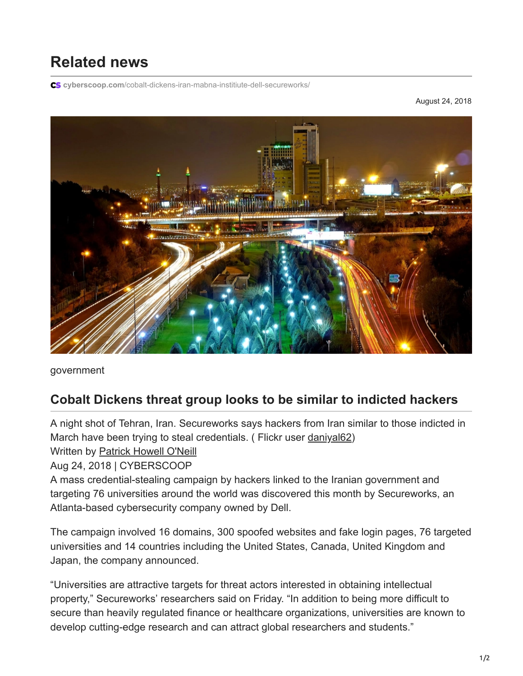## **Related news**

**cyberscoop.com**[/cobalt-dickens-iran-mabna-institiute-dell-secureworks/](https://www.cyberscoop.com/cobalt-dickens-iran-mabna-institiute-dell-secureworks/)

August 24, 2018



government

## **Cobalt Dickens threat group looks to be similar to indicted hackers**

A night shot of Tehran, Iran. Secureworks says hackers from Iran similar to those indicted in March have been trying to steal credentials. ( Flickr user [daniyal62\)](https://flic.kr/p/G5yUdE) Written by [Patrick Howell O'Neill](https://www.cyberscoop.com/author/oneill/)

Aug 24, 2018 | CYBERSCOOP

A mass credential-stealing campaign by hackers linked to the Iranian government and targeting 76 universities around the world was discovered this month by Secureworks, an Atlanta-based cybersecurity company owned by Dell.

The campaign involved 16 domains, 300 spoofed websites and fake login pages, 76 targeted universities and 14 countries including the United States, Canada, United Kingdom and Japan, the company announced.

"Universities are attractive targets for threat actors interested in obtaining intellectual property," Secureworks' researchers said on Friday. "In addition to being more difficult to secure than heavily regulated finance or healthcare organizations, universities are known to develop cutting-edge research and can attract global researchers and students."